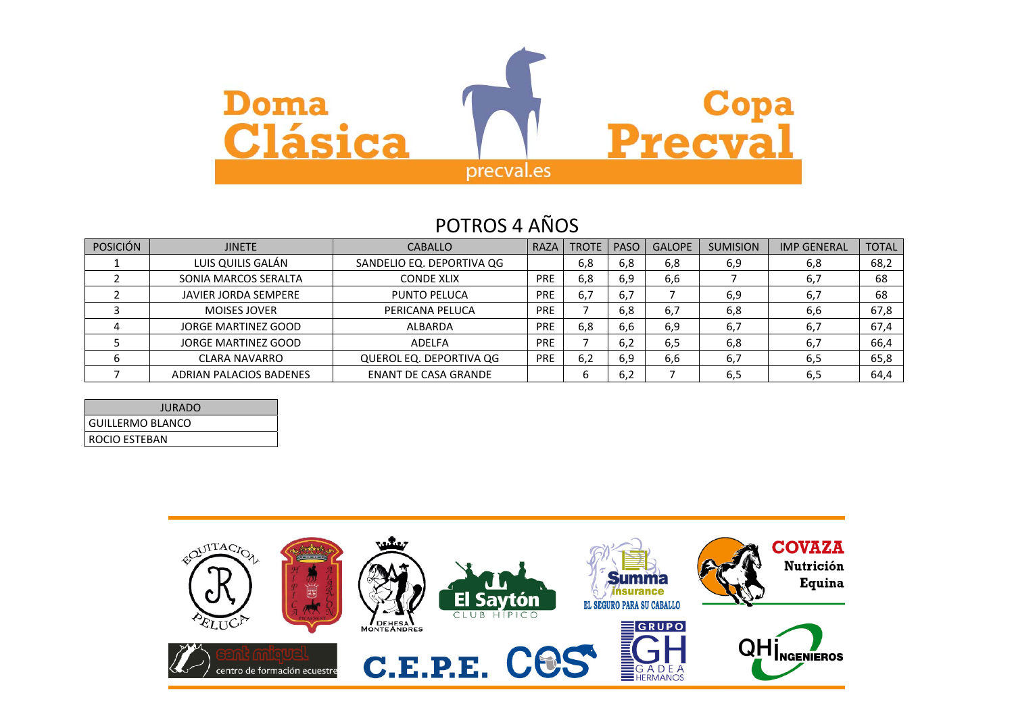

## POTROS 4 AÑOS

| <b>POSICIÓN</b> | <b>JINETE</b>               | <b>CABALLO</b>              | <b>RAZA</b> | <b>TROTE</b> | <b>PASO</b> | <b>GALOPE</b> | <b>SUMISION</b> | <b>IMP GENERAL</b> | <b>TOTAL</b> |
|-----------------|-----------------------------|-----------------------------|-------------|--------------|-------------|---------------|-----------------|--------------------|--------------|
|                 | LUIS QUILIS GALÁN           | SANDELIO EQ. DEPORTIVA QG   |             | 6,8          | 6,8         | 6,8           | 6,9             | 6,8                | 68,2         |
|                 | SONIA MARCOS SERALTA        | <b>CONDE XLIX</b>           | <b>PRE</b>  | 6,8          | 6,9         | 6,6           |                 | 6,7                | 68           |
|                 | <b>JAVIER JORDA SEMPERE</b> | PUNTO PELUCA                | <b>PRE</b>  | 6.7          | 6,7         |               | 6,9             | 6,7                | 68           |
|                 | <b>MOISES JOVER</b>         | PERICANA PELUCA             | <b>PRE</b>  |              | 6,8         | 6,7           | 6,8             | 6,6                | 67,8         |
|                 | JORGE MARTINEZ GOOD         | ALBARDA                     | <b>PRE</b>  | 6,8          | 6,6         | 6,9           | 6,7             | 6,7                | 67,4         |
|                 | JORGE MARTINEZ GOOD         | ADELFA                      | <b>PRE</b>  |              | 6,2         | 6,5           | 6,8             | 6,7                | 66,4         |
|                 | <b>CLARA NAVARRO</b>        | QUEROL EQ. DEPORTIVA QG     | <b>PRE</b>  | 6,2          | 6,9         | 6,6           | 6,7             | 6,5                | 65,8         |
|                 | ADRIAN PALACIOS BADENES     | <b>ENANT DE CASA GRANDE</b> |             | b            | 6,2         |               | 6,5             | 6,5                | 64,4         |

| <b>JURADO</b>    |
|------------------|
| GUILLERMO BLANCO |
| I ROCIO ESTEBAN  |

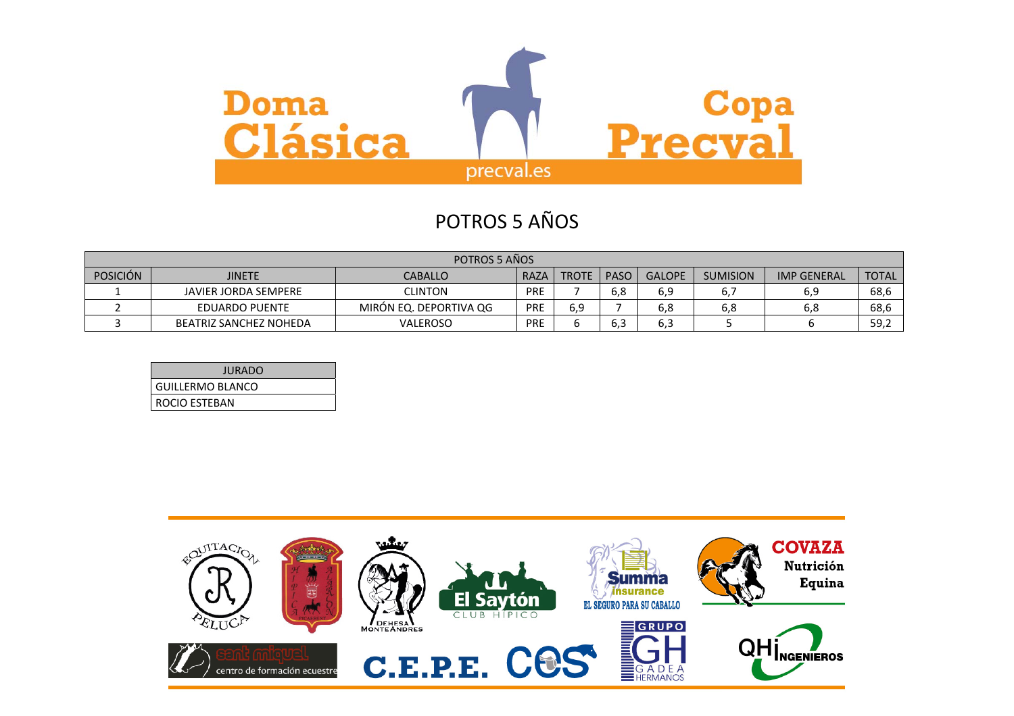

# POTROS 5 AÑOS

| POTROS 5 AÑOS                                                                                       |                               |                        |     |                 |                    |              |     |     |      |
|-----------------------------------------------------------------------------------------------------|-------------------------------|------------------------|-----|-----------------|--------------------|--------------|-----|-----|------|
| <b>POSICIÓN</b><br>PASO<br>RAZA<br><b>JINETE</b><br><b>GALOPE</b><br><b>CABALLO</b><br><b>TROTE</b> |                               |                        |     | <b>SUMISION</b> | <b>IMP GENERAL</b> | <b>TOTAL</b> |     |     |      |
|                                                                                                     | JAVIER JORDA SEMPERE          | <b>CLINTON</b>         | PRE |                 | 6,8                | 6,9          | υ.  | 6,9 | 68,6 |
|                                                                                                     | EDUARDO PUENTE                | MIRÓN EQ. DEPORTIVA QG | PRE | 6.9             |                    | 6,8          | 6,8 | 6,8 | 68,6 |
|                                                                                                     | <b>BEATRIZ SANCHEZ NOHEDA</b> | <b>VALEROSO</b>        | PRE |                 | 6,3                | υ, ο         |     |     | 59,2 |

| <b>JURADO</b>          |
|------------------------|
| GUILLERMO BLANCO       |
| <b>I ROCIO ESTEBAN</b> |

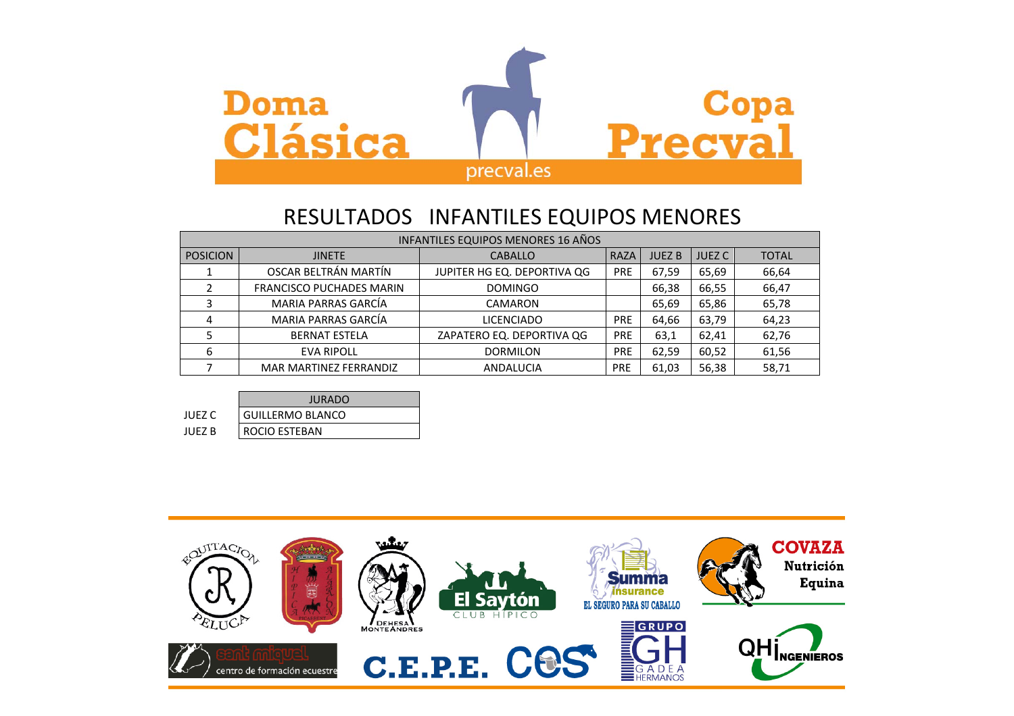

## RESULTADOS INFANTILES EQUIPOS MENORES

|                 | INFANTILES EQUIPOS MENORES 16 AÑOS |                             |             |               |               |              |  |  |  |
|-----------------|------------------------------------|-----------------------------|-------------|---------------|---------------|--------------|--|--|--|
| <b>POSICION</b> | <b>JINETE</b>                      | <b>CABALLO</b>              | <b>RAZA</b> | <b>JUEZ B</b> | <b>JUEZ C</b> | <b>TOTAL</b> |  |  |  |
|                 | OSCAR BELTRÁN MARTÍN               | JUPITER HG EQ. DEPORTIVA QG | <b>PRE</b>  | 67,59         | 65,69         | 66,64        |  |  |  |
|                 | <b>FRANCISCO PUCHADES MARIN</b>    | <b>DOMINGO</b>              |             | 66,38         | 66,55         | 66,47        |  |  |  |
|                 | MARIA PARRAS GARCÍA                | <b>CAMARON</b>              |             | 65,69         | 65,86         | 65,78        |  |  |  |
| 4               | MARIA PARRAS GARCÍA                | <b>LICENCIADO</b>           | <b>PRE</b>  | 64,66         | 63,79         | 64,23        |  |  |  |
|                 | <b>BERNAT ESTELA</b>               | ZAPATERO EQ. DEPORTIVA QG   | <b>PRE</b>  | 63,1          | 62,41         | 62,76        |  |  |  |
| 6               | <b>EVA RIPOLL</b>                  | <b>DORMILON</b>             | <b>PRE</b>  | 62,59         | 60,52         | 61,56        |  |  |  |
|                 | MAR MARTINEZ FERRANDIZ             | <b>ANDALUCIA</b>            | <b>PRE</b>  | 61,03         | 56,38         | 58,71        |  |  |  |

|        | JURADO               |
|--------|----------------------|
| JUEZ C | GUILLERMO BLANCO     |
| JUEZ B | <b>ROCIO ESTEBAN</b> |

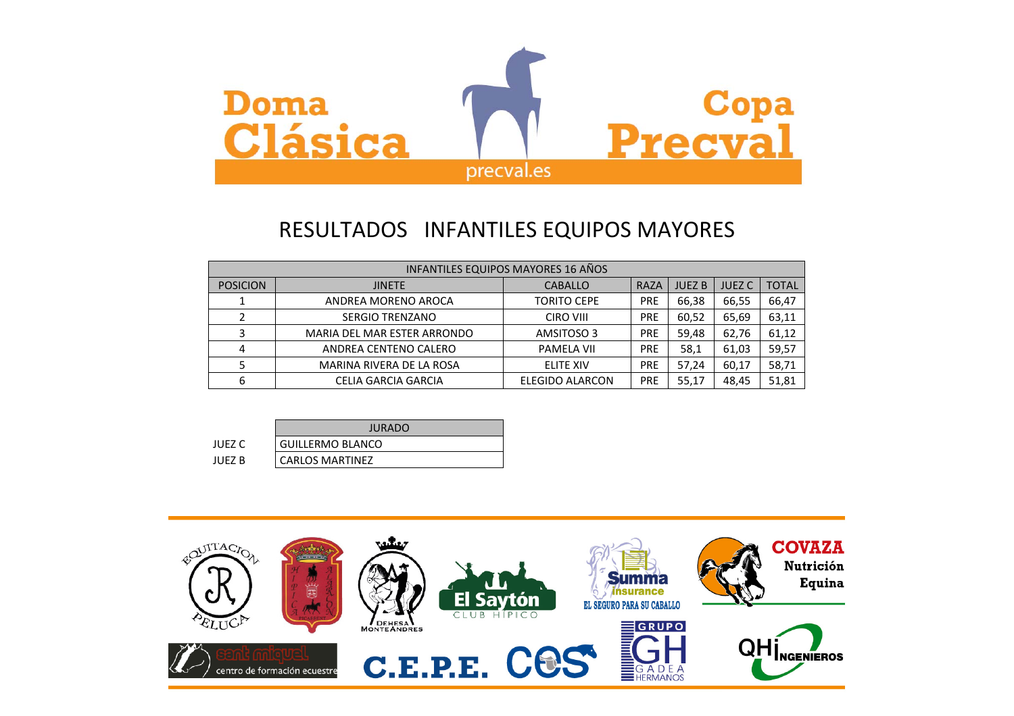

## RESULTADOS INFANTILES EQUIPOS MAYORES

|                 | <b>INFANTILES EQUIPOS MAYORES 16 AÑOS</b> |                        |            |               |               |              |  |  |  |  |
|-----------------|-------------------------------------------|------------------------|------------|---------------|---------------|--------------|--|--|--|--|
| <b>POSICION</b> | <b>JINETE</b>                             | <b>CABALLO</b>         | RAZA       | <b>JUEZ B</b> | <b>JUEZ C</b> | <b>TOTAL</b> |  |  |  |  |
|                 | ANDREA MORENO AROCA                       | <b>TORITO CEPE</b>     | <b>PRE</b> | 66,38         | 66,55         | 66,47        |  |  |  |  |
|                 | <b>SERGIO TRENZANO</b>                    | <b>CIRO VIII</b>       | <b>PRE</b> | 60,52         | 65,69         | 63,11        |  |  |  |  |
| 3               | MARIA DEL MAR ESTER ARRONDO               | AMSITOSO 3             | <b>PRE</b> | 59,48         | 62,76         | 61,12        |  |  |  |  |
| 4               | ANDREA CENTENO CALERO                     | <b>PAMELA VII</b>      | PRE        | 58,1          | 61,03         | 59,57        |  |  |  |  |
|                 | MARINA RIVERA DE LA ROSA                  | <b>ELITE XIV</b>       | <b>PRE</b> | 57,24         | 60,17         | 58,71        |  |  |  |  |
| 6               | <b>CELIA GARCIA GARCIA</b>                | <b>ELEGIDO ALARCON</b> | <b>PRE</b> | 55,17         | 48,45         | 51,81        |  |  |  |  |

|        | JURADO                  |  |  |
|--------|-------------------------|--|--|
| JUEZ C | <b>GUILLERMO BLANCO</b> |  |  |
| IUFZ B | <b>CARLOS MARTINEZ</b>  |  |  |

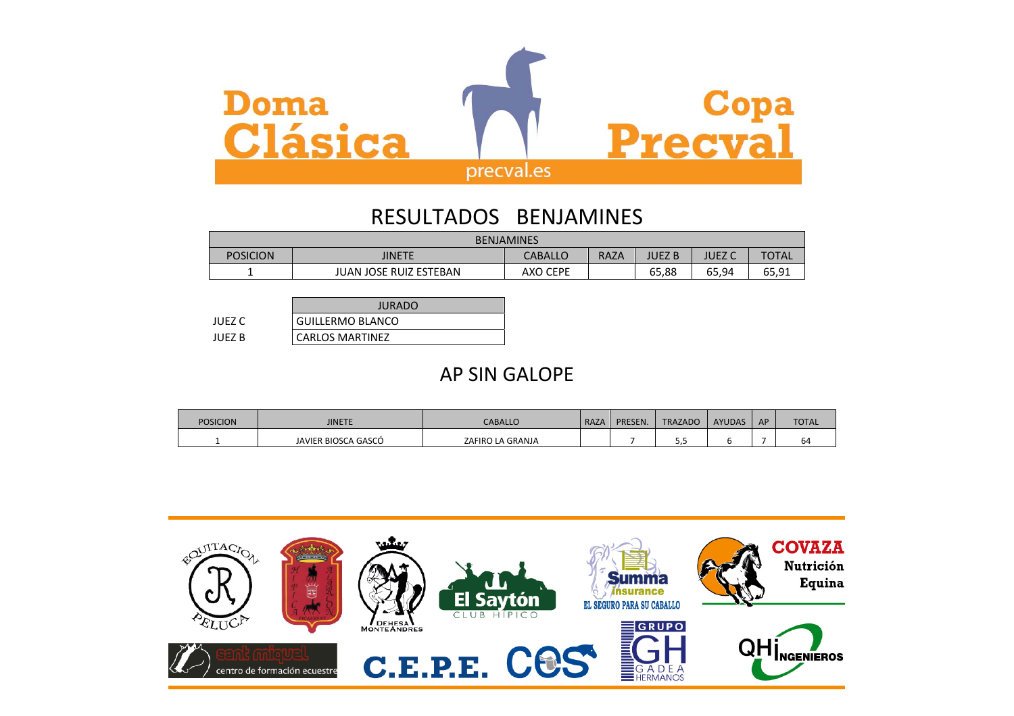

## RESULTADOS BENJAMINES

| <b>BENJAMINES</b> |                        |          |      |        |       |       |  |  |
|-------------------|------------------------|----------|------|--------|-------|-------|--|--|
| <b>POSICION</b>   | JINETE                 | CABALLO  | RAZA | JUEZ B | UEZ C | TOTAL |  |  |
|                   | JUAN JOSE RUIZ ESTEBAN | AXO CEPE |      | 65,88  | 65,94 | 65,91 |  |  |

|        | <b>JURADO</b>           |
|--------|-------------------------|
| JUEZ C | <b>GUILLERMO BLANCO</b> |
| JUFZ B | <b>CARLOS MARTINEZ</b>  |

## AP SIN GALOPE

| <b>POSICION</b> | JINETE              | <b>CABALLO</b>   | RAZA | PRESEN. | <b>TRAZADO</b> | <b>AYUDAS</b> | AP | <b>TOTAL</b> |
|-----------------|---------------------|------------------|------|---------|----------------|---------------|----|--------------|
|                 | JAVIER BIOSCA GASCÓ | ZAFIRO LA GRANJA |      |         | .              |               |    | <b>b</b> 4   |

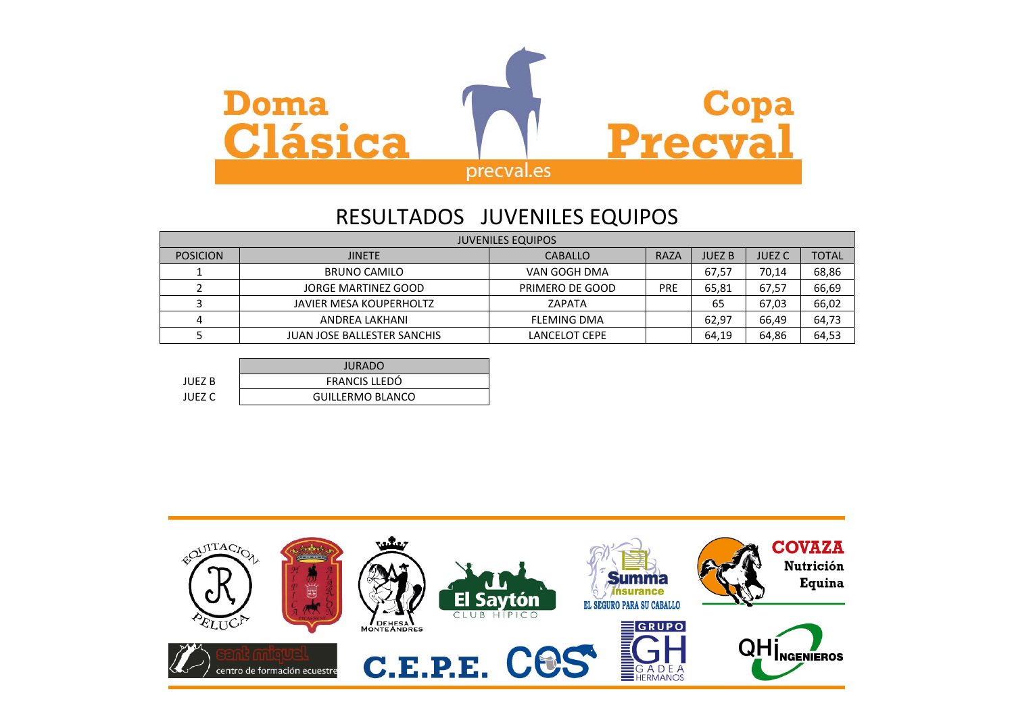

### RESULTADOS JUVENILES EQUIPOS

| <b>JUVENILES EQUIPOS</b> |                                    |                    |            |               |               |              |  |  |  |
|--------------------------|------------------------------------|--------------------|------------|---------------|---------------|--------------|--|--|--|
| <b>POSICION</b>          | <b>JINETE</b>                      | <b>CABALLO</b>     | RAZA       | <b>JUEZ B</b> | <b>JUEZ C</b> | <b>TOTAL</b> |  |  |  |
|                          | <b>BRUNO CAMILO</b>                | VAN GOGH DMA       |            | 67,57         | 70,14         | 68,86        |  |  |  |
|                          | JORGE MARTINEZ GOOD                | PRIMERO DE GOOD    | <b>PRE</b> | 65,81         | 67,57         | 66,69        |  |  |  |
|                          | JAVIER MESA KOUPERHOLTZ            | ZAPATA             |            | 65            | 67,03         | 66,02        |  |  |  |
| Δ                        | ANDREA LAKHANI                     | <b>FLEMING DMA</b> |            | 62,97         | 66,49         | 64,73        |  |  |  |
|                          | <b>JUAN JOSE BALLESTER SANCHIS</b> | LANCELOT CEPE      |            | 64,19         | 64,86         | 64,53        |  |  |  |

|        | <b>JURADO</b>           |
|--------|-------------------------|
| JUEZ B | FRANCIS LLEDÓ           |
| JUEZ C | <b>GUILLERMO BLANCO</b> |

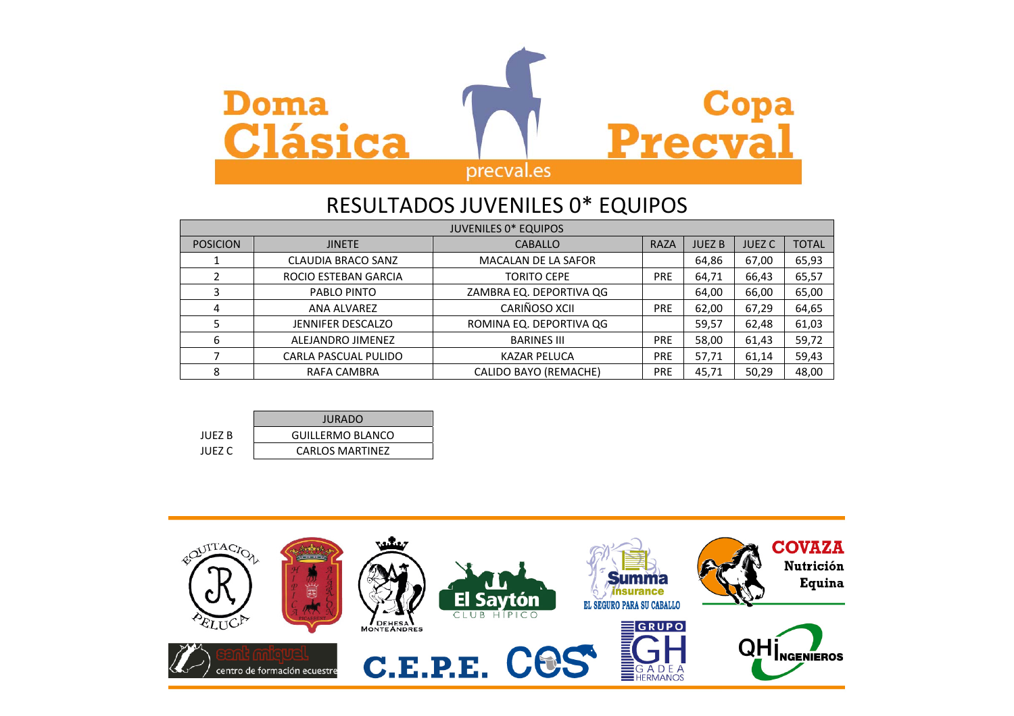

## RESULTADOS JUVENILES 0\* EQUIPOS

| <b>JUVENILES 0* EQUIPOS</b> |                                 |                            |             |               |               |              |
|-----------------------------|---------------------------------|----------------------------|-------------|---------------|---------------|--------------|
| <b>POSICION</b>             | <b>CABALLO</b><br><b>JINETE</b> |                            | <b>RAZA</b> | <b>JUEZ B</b> | <b>JUEZ C</b> | <b>TOTAL</b> |
|                             | <b>CLAUDIA BRACO SANZ</b>       | <b>MACALAN DE LA SAFOR</b> |             | 64,86         | 67,00         | 65,93        |
|                             | ROCIO ESTEBAN GARCIA            | <b>TORITO CEPE</b>         | <b>PRE</b>  | 64,71         | 66,43         | 65,57        |
| 3                           | PABLO PINTO                     | ZAMBRA EQ. DEPORTIVA QG    |             | 64,00         | 66,00         | 65,00        |
| 4                           | ANA ALVAREZ                     | CARIÑOSO XCII              | <b>PRE</b>  | 62,00         | 67,29         | 64,65        |
| 5                           | <b>JENNIFER DESCALZO</b>        | ROMINA EQ. DEPORTIVA QG    |             | 59,57         | 62,48         | 61,03        |
| 6                           | ALEJANDRO JIMENEZ               | <b>BARINES III</b>         | <b>PRE</b>  | 58,00         | 61,43         | 59,72        |
|                             | <b>CARLA PASCUAL PULIDO</b>     | <b>KAZAR PELUCA</b>        | <b>PRE</b>  | 57,71         | 61,14         | 59,43        |
| 8                           | RAFA CAMBRA                     | CALIDO BAYO (REMACHE)      | <b>PRE</b>  | 45,71         | 50,29         | 48,00        |

|         | <b>JURADO</b>           |  |  |  |
|---------|-------------------------|--|--|--|
| IUFZ B  | <b>GUILLERMO BLANCO</b> |  |  |  |
| IUFZ C. | <b>CARLOS MARTINEZ</b>  |  |  |  |

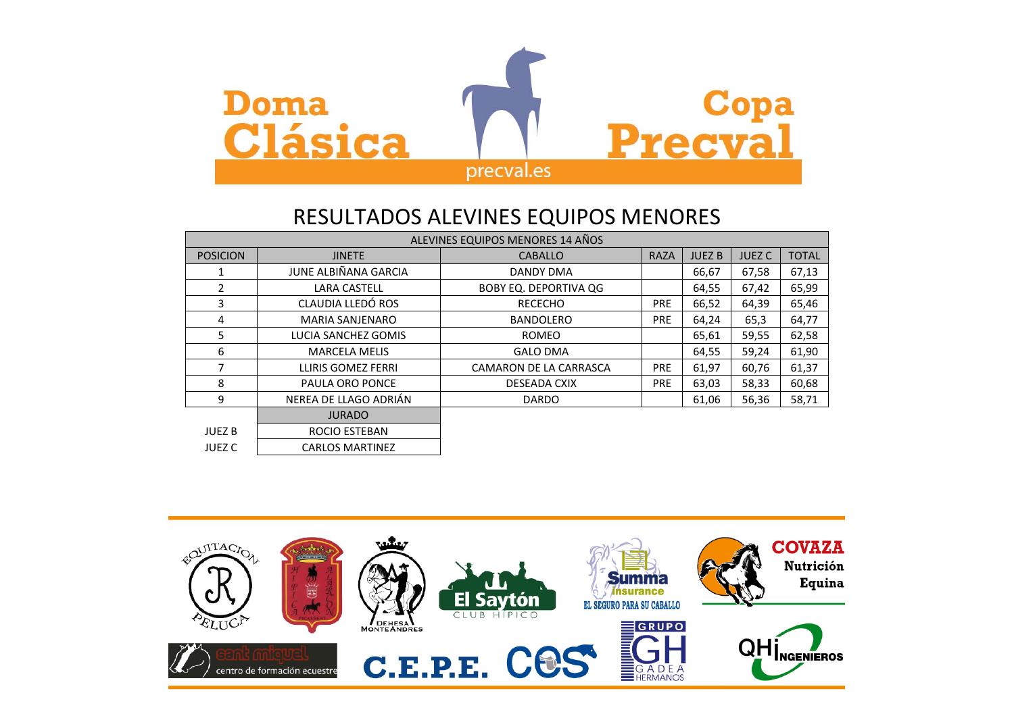

### RESULTADOS ALEVINES EQUIPOS MENORES

| ALEVINES EQUIPOS MENORES 14 AÑOS |                        |                              |             |               |               |              |
|----------------------------------|------------------------|------------------------------|-------------|---------------|---------------|--------------|
| <b>POSICION</b>                  | <b>JINETE</b>          | <b>CABALLO</b>               | <b>RAZA</b> | <b>JUEZ B</b> | <b>JUEZ C</b> | <b>TOTAL</b> |
|                                  | JUNE ALBIÑANA GARCIA   | DANDY DMA                    |             | 66,67         | 67,58         | 67,13        |
| 2                                | <b>LARA CASTELL</b>    | <b>BOBY EQ. DEPORTIVA QG</b> |             | 64,55         | 67,42         | 65,99        |
| 3                                | CLAUDIA LLEDÓ ROS      | <b>RECECHO</b>               | <b>PRE</b>  | 66,52         | 64,39         | 65,46        |
| 4                                | <b>MARIA SANJENARO</b> | <b>BANDOLERO</b>             | <b>PRE</b>  | 64,24         | 65,3          | 64,77        |
| 5                                | LUCIA SANCHEZ GOMIS    | <b>ROMEO</b>                 |             | 65,61         | 59,55         | 62,58        |
| 6                                | <b>MARCELA MELIS</b>   | <b>GALO DMA</b>              |             | 64,55         | 59,24         | 61,90        |
| 7                                | LLIRIS GOMEZ FERRI     | CAMARON DE LA CARRASCA       | <b>PRE</b>  | 61,97         | 60,76         | 61,37        |
| 8                                | PAULA ORO PONCE        | DESEADA CXIX                 | <b>PRE</b>  | 63,03         | 58,33         | 60,68        |
| 9                                | NEREA DE LLAGO ADRIÁN  | <b>DARDO</b>                 |             | 61,06         | 56,36         | 58,71        |
|                                  | <b>JURADO</b>          |                              |             |               |               |              |
| <b>JUEZ B</b>                    | ROCIO ESTEBAN          |                              |             |               |               |              |
| <b>JUEZ C</b>                    | <b>CARLOS MARTINEZ</b> |                              |             |               |               |              |

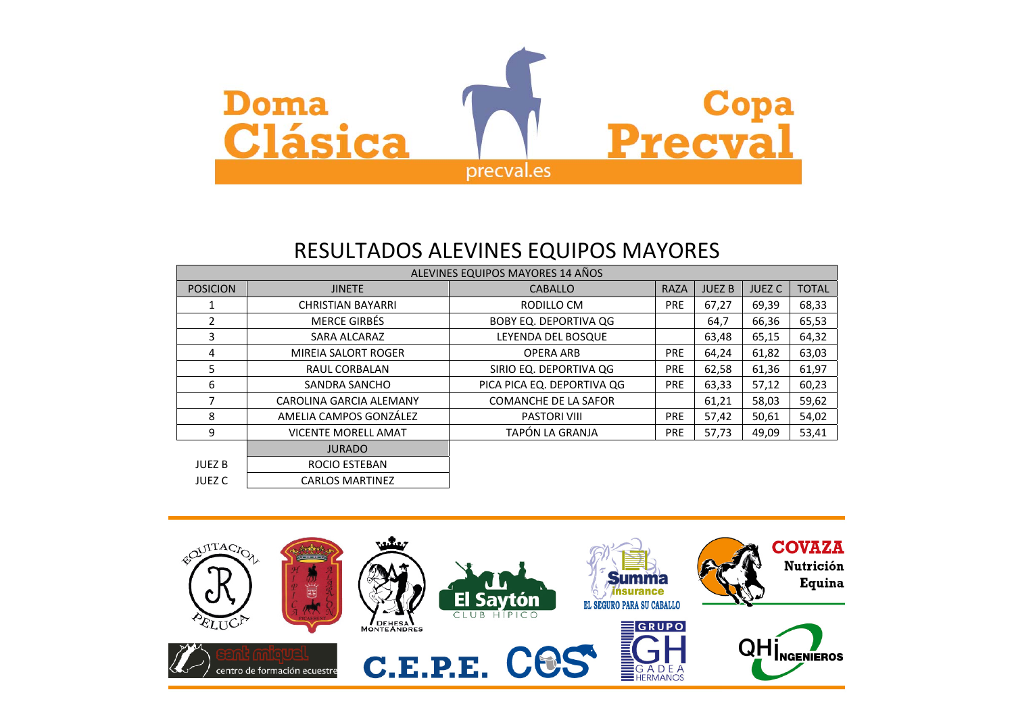

## RESULTADOS ALEVINES EQUIPOS MAYORES

| ALEVINES EQUIPOS MAYORES 14 AÑOS |                            |                              |             |              |               |              |
|----------------------------------|----------------------------|------------------------------|-------------|--------------|---------------|--------------|
| <b>POSICION</b>                  | <b>JINETE</b>              | <b>CABALLO</b>               | <b>RAZA</b> | <b>JUEZB</b> | <b>JUEZ C</b> | <b>TOTAL</b> |
|                                  | <b>CHRISTIAN BAYARRI</b>   | RODILLO CM                   | <b>PRE</b>  | 67,27        | 69,39         | 68,33        |
| 2                                | <b>MERCE GIRBÉS</b>        | <b>BOBY EQ. DEPORTIVA QG</b> |             | 64,7         | 66,36         | 65,53        |
| 3                                | SARA ALCARAZ               | LEYENDA DEL BOSQUE           |             | 63,48        | 65,15         | 64,32        |
| 4                                | <b>MIREIA SALORT ROGER</b> | <b>OPERA ARB</b>             | <b>PRE</b>  | 64,24        | 61,82         | 63,03        |
| 5                                | RAUL CORBALAN              | SIRIO EQ. DEPORTIVA QG       | <b>PRE</b>  | 62,58        | 61,36         | 61,97        |
| 6                                | SANDRA SANCHO              | PICA PICA EQ. DEPORTIVA QG   | <b>PRE</b>  | 63,33        | 57,12         | 60,23        |
| 7                                | CAROLINA GARCIA ALEMANY    | <b>COMANCHE DE LA SAFOR</b>  |             | 61,21        | 58,03         | 59,62        |
| 8                                | AMELIA CAMPOS GONZÁLEZ     | <b>PASTORI VIII</b>          | <b>PRE</b>  | 57,42        | 50,61         | 54,02        |
| 9                                | <b>VICENTE MORELL AMAT</b> | TAPÓN LA GRANJA              | <b>PRE</b>  | 57,73        | 49,09         | 53,41        |
|                                  | <b>JURADO</b>              |                              |             |              |               |              |
| <b>JUEZ B</b>                    | ROCIO ESTEBAN              |                              |             |              |               |              |
| <b>JUEZ C</b>                    | <b>CARLOS MARTINEZ</b>     |                              |             |              |               |              |

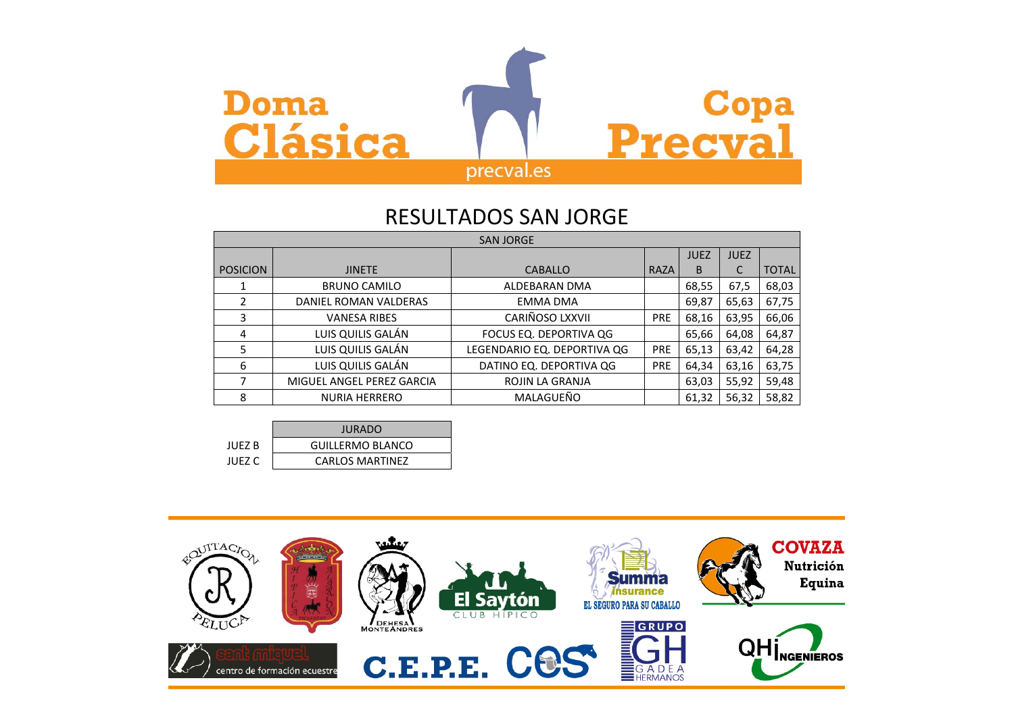

#### RESULTADOS SAN JORGE

| <b>SAN JORGE</b> |                           |                             |            |             |             |              |
|------------------|---------------------------|-----------------------------|------------|-------------|-------------|--------------|
|                  |                           |                             |            | <b>JUEZ</b> | <b>JUEZ</b> |              |
| <b>POSICION</b>  | <b>JINETE</b>             | <b>CABALLO</b>              | RAZA       | B           |             | <b>TOTAL</b> |
|                  | <b>BRUNO CAMILO</b>       | ALDEBARAN DMA               |            | 68,55       | 67,5        | 68,03        |
| 2                | DANIEL ROMAN VALDERAS     | <b>EMMA DMA</b>             |            | 69,87       | 65,63       | 67,75        |
| 3                | <b>VANESA RIBES</b>       | CARIÑOSO LXXVII             | <b>PRE</b> | 68,16       | 63,95       | 66,06        |
| 4                | LUIS QUILIS GALÁN         | FOCUS EQ. DEPORTIVA QG      |            | 65,66       | 64,08       | 64,87        |
| 5                | LUIS QUILIS GALÁN         | LEGENDARIO EQ. DEPORTIVA QG | <b>PRE</b> | 65,13       | 63,42       | 64,28        |
| 6                | LUIS QUILIS GALÁN         | DATINO EQ. DEPORTIVA QG     | <b>PRE</b> | 64,34       | 63,16       | 63,75        |
| 7                | MIGUEL ANGEL PEREZ GARCIA | <b>ROJIN LA GRANJA</b>      |            | 63,03       | 55,92       | 59,48        |
| 8                | <b>NURIA HERRERO</b>      | MALAGUEÑO                   |            | 61,32       | 56,32       | 58,82        |

|        | <b>JURADO</b>           |  |  |  |
|--------|-------------------------|--|--|--|
| JUFZ B | <b>GUILLERMO BLANCO</b> |  |  |  |
| JUEZ C | <b>CARLOS MARTINEZ</b>  |  |  |  |